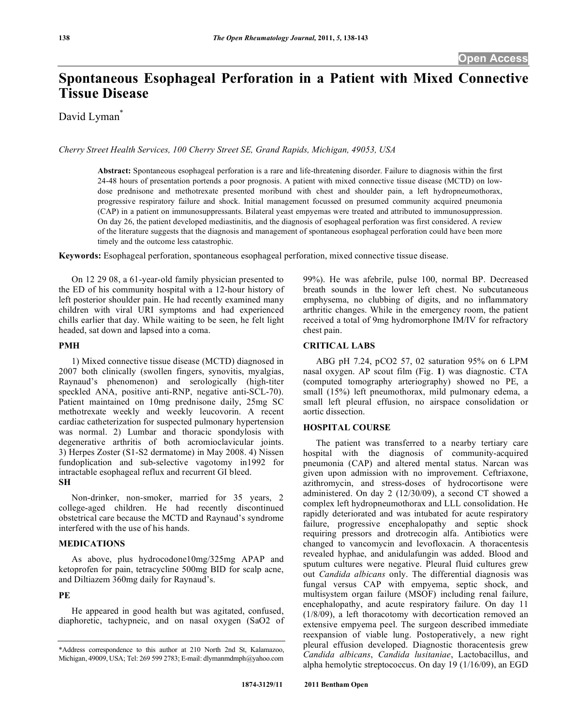# **Spontaneous Esophageal Perforation in a Patient with Mixed Connective Tissue Disease**

David Lyman<sup>\*</sup>

*Cherry Street Health Services, 100 Cherry Street SE, Grand Rapids, Michigan, 49053, USA* 

**Abstract:** Spontaneous esophageal perforation is a rare and life-threatening disorder. Failure to diagnosis within the first 24-48 hours of presentation portends a poor prognosis. A patient with mixed connective tissue disease (MCTD) on lowdose prednisone and methotrexate presented moribund with chest and shoulder pain, a left hydropneumothorax, progressive respiratory failure and shock. Initial management focussed on presumed community acquired pneumonia (CAP) in a patient on immunosuppressants. Bilateral yeast empyemas were treated and attributed to immunosuppression. On day 26, the patient developed mediastinitis, and the diagnosis of esophageal perforation was first considered. A review of the literature suggests that the diagnosis and management of spontaneous esophageal perforation could have been more timely and the outcome less catastrophic.

**Keywords:** Esophageal perforation, spontaneous esophageal perforation, mixed connective tissue disease.

 On 12 29 08, a 61-year-old family physician presented to the ED of his community hospital with a 12-hour history of left posterior shoulder pain. He had recently examined many children with viral URI symptoms and had experienced chills earlier that day. While waiting to be seen, he felt light headed, sat down and lapsed into a coma.

## **PMH**

1) Mixed connective tissue disease (MCTD) diagnosed in 2007 both clinically (swollen fingers, synovitis, myalgias, Raynaud's phenomenon) and serologically (high-titer speckled ANA, positive anti-RNP, negative anti-SCL-70). Patient maintained on 10mg prednisone daily, 25mg SC methotrexate weekly and weekly leucovorin. A recent cardiac catheterization for suspected pulmonary hypertension was normal. 2) Lumbar and thoracic spondylosis with degenerative arthritis of both acromioclavicular joints. 3) Herpes Zoster (S1-S2 dermatome) in May 2008. 4) Nissen fundoplication and sub-selective vagotomy in1992 for intractable esophageal reflux and recurrent GI bleed. **SH** 

 Non-drinker, non-smoker, married for 35 years, 2 college-aged children. He had recently discontinued obstetrical care because the MCTD and Raynaud's syndrome interfered with the use of his hands.

# **MEDICATIONS**

 As above, plus hydrocodone10mg/325mg APAP and ketoprofen for pain, tetracycline 500mg BID for scalp acne, and Diltiazem 360mg daily for Raynaud's.

# **PE**

 He appeared in good health but was agitated, confused, diaphoretic, tachypneic, and on nasal oxygen (SaO2 of 99%). He was afebrile, pulse 100, normal BP. Decreased breath sounds in the lower left chest. No subcutaneous emphysema, no clubbing of digits, and no inflammatory arthritic changes. While in the emergency room, the patient received a total of 9mg hydromorphone IM/IV for refractory chest pain.

# **CRITICAL LABS**

 ABG pH 7.24, pCO2 57, 02 saturation 95% on 6 LPM nasal oxygen. AP scout film (Fig. **1**) was diagnostic. CTA (computed tomography arteriography) showed no PE, a small (15%) left pneumothorax, mild pulmonary edema, a small left pleural effusion, no airspace consolidation or aortic dissection.

#### **HOSPITAL COURSE**

 The patient was transferred to a nearby tertiary care hospital with the diagnosis of community-acquired pneumonia (CAP) and altered mental status. Narcan was given upon admission with no improvement. Ceftriaxone, azithromycin, and stress-doses of hydrocortisone were administered. On day 2 (12/30/09), a second CT showed a complex left hydropneumothorax and LLL consolidation. He rapidly deteriorated and was intubated for acute respiratory failure, progressive encephalopathy and septic shock requiring pressors and drotrecogin alfa. Antibiotics were changed to vancomycin and levofloxacin. A thoracentesis revealed hyphae, and anidulafungin was added. Blood and sputum cultures were negative. Pleural fluid cultures grew out *Candida albicans* only. The differential diagnosis was fungal versus CAP with empyema, septic shock, and multisystem organ failure (MSOF) including renal failure, encephalopathy, and acute respiratory failure. On day 11 (1/8/09), a left thoracotomy with decortication removed an extensive empyema peel. The surgeon described immediate reexpansion of viable lung. Postoperatively, a new right pleural effusion developed. Diagnostic thoracentesis grew *Candida albicans*, *Candida lusitaniae*, Lactobacillus, and alpha hemolytic streptococcus. On day 19 (1/16/09), an EGD

<sup>\*</sup>Address correspondence to this author at 210 North 2nd St, Kalamazoo, Michigan, 49009, USA; Tel: 269 599 2783; E-mail: dlymanmdmph@yahoo.com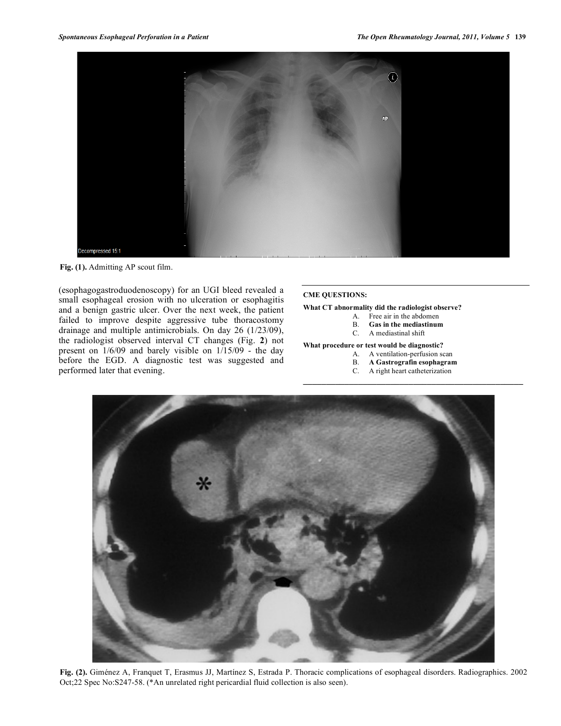



(esophagogastroduodenoscopy) for an UGI bleed revealed a small esophageal erosion with no ulceration or esophagitis and a benign gastric ulcer. Over the next week, the patient failed to improve despite aggressive tube thoracostomy drainage and multiple antimicrobials. On day 26 (1/23/09), the radiologist observed interval CT changes (Fig. **2**) not present on 1/6/09 and barely visible on 1/15/09 - the day before the EGD. A diagnostic test was suggested and performed later that evening.

#### **CME QUESTIONS:**

#### **What CT abnormality did the radiologist observe?**

- A. Free air in the abdomen
- B. **Gas in the mediastinum**
- C. A mediastinal shift

#### **What procedure or test would be diagnostic?**

- A. A ventilation-perfusion scan
- B. **A Gastrografin esophagram**
- C. A right heart catheterization

 $\mathcal{L} = \{ \mathcal{L} \}$ 



**Fig. (2).** Giménez A, Franquet T, Erasmus JJ, Martínez S, Estrada P. Thoracic complications of esophageal disorders. Radiographics. 2002 Oct;22 Spec No:S247-58. (\*An unrelated right pericardial fluid collection is also seen).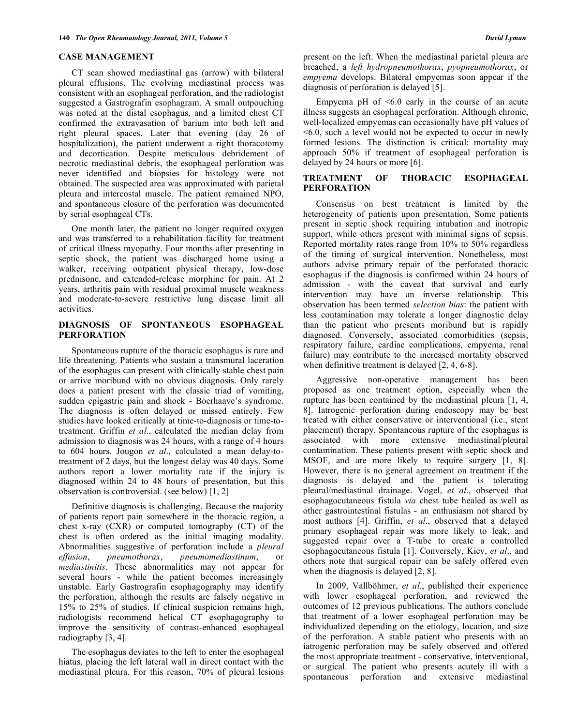## **CASE MANAGEMENT**

 CT scan showed mediastinal gas (arrow) with bilateral pleural effusions. The evolving mediastinal process was consistent with an esophageal perforation, and the radiologist suggested a Gastrografin esophagram. A small outpouching was noted at the distal esophagus, and a limited chest CT confirmed the extravasation of barium into both left and right pleural spaces. Later that evening (day 26 of hospitalization), the patient underwent a right thoracotomy and decortication. Despite meticulous debridement of necrotic mediastinal debris, the esophageal perforation was never identified and biopsies for histology were not obtained. The suspected area was approximated with parietal pleura and intercostal muscle. The patient remained NPO, and spontaneous closure of the perforation was documented by serial esophageal CTs.

 One month later, the patient no longer required oxygen and was transferred to a rehabilitation facility for treatment of critical illness myopathy. Four months after presenting in septic shock, the patient was discharged home using a walker, receiving outpatient physical therapy, low-dose prednisone, and extended-release morphine for pain. At 2 years, arthritis pain with residual proximal muscle weakness and moderate-to-severe restrictive lung disease limit all activities.

# **DIAGNOSIS OF SPONTANEOUS ESOPHAGEAL PERFORATION**

 Spontaneous rupture of the thoracic esophagus is rare and life threatening. Patients who sustain a transmural laceration of the esophagus can present with clinically stable chest pain or arrive moribund with no obvious diagnosis. Only rarely does a patient present with the classic triad of vomiting, sudden epigastric pain and shock - Boerhaave's syndrome. The diagnosis is often delayed or missed entirely. Few studies have looked critically at time-to-diagnosis or time-totreatment. Griffin *et al*., calculated the median delay from admission to diagnosis was 24 hours, with a range of 4 hours to 604 hours. Jougon *et al*., calculated a mean delay-totreatment of 2 days, but the longest delay was 40 days. Some authors report a lower mortality rate if the injury is diagnosed within 24 to 48 hours of presentation, but this observation is controversial. (see below) [1, 2]

 Definitive diagnosis is challenging. Because the majority of patients report pain somewhere in the thoracic region, a chest x-ray (CXR) or computed tomography (CT) of the chest is often ordered as the initial imaging modality. Abnormalities suggestive of perforation include a *pleural effusion*, *pneumothorax*, *pneumomediastinum*, or *mediastinitis*. These abnormalities may not appear for several hours - while the patient becomes increasingly unstable. Early Gastrografin esophagography may identify the perforation, although the results are falsely negative in 15% to 25% of studies. If clinical suspicion remains high, radiologists recommend helical CT esophagography to improve the sensitivity of contrast-enhanced esophageal radiography [3, 4].

 The esophagus deviates to the left to enter the esophageal hiatus, placing the left lateral wall in direct contact with the mediastinal pleura. For this reason, 70% of pleural lesions present on the left. When the mediastinal parietal pleura are breached, a *left hydropneumothorax*, *pyopneumothorax*, or *empyema* develops. Bilateral empyemas soon appear if the diagnosis of perforation is delayed [5].

 Empyema pH of <6.0 early in the course of an acute illness suggests an esophageal perforation. Although chronic, well-localized empyemas can occasionally have pH values of <6.0, such a level would not be expected to occur in newly formed lesions. The distinction is critical: mortality may approach 50% if treatment of esophageal perforation is delayed by 24 hours or more [6].

# **TREATMENT OF THORACIC ESOPHAGEAL PERFORATION**

 Consensus on best treatment is limited by the heterogeneity of patients upon presentation. Some patients present in septic shock requiring intubation and inotropic support, while others present with minimal signs of sepsis. Reported mortality rates range from 10% to 50% regardless of the timing of surgical intervention. Nonetheless, most authors advise primary repair of the perforated thoracic esophagus if the diagnosis is confirmed within 24 hours of admission - with the caveat that survival and early intervention may have an inverse relationship. This observation has been termed *selection bias*: the patient with less contamination may tolerate a longer diagnostic delay than the patient who presents moribund but is rapidly diagnosed. Conversely, associated comorbidities (sepsis, respiratory failure, cardiac complications, empyema, renal failure) may contribute to the increased mortality observed when definitive treatment is delayed [2, 4, 6-8].

 Aggressive non-operative management has been proposed as one treatment option, especially when the rupture has been contained by the mediastinal pleura [1, 4, 8]. Iatrogenic perforation during endoscopy may be best treated with either conservative or interventional (i.e., stent placement) therapy. Spontaneous rupture of the esophagus is associated with more extensive mediastinal/pleural contamination. These patients present with septic shock and MSOF, and are more likely to require surgery [1, 8]. However, there is no general agreement on treatment if the diagnosis is delayed and the patient is tolerating pleural/mediastinal drainage. Vogel, *et al*., observed that esophagocutaneous fistula *via* chest tube healed as well as other gastrointestinal fistulas - an enthusiasm not shared by most authors [4]. Griffin, *et al*., observed that a delayed primary esophageal repair was more likely to leak, and suggested repair over a T-tube to create a controlled esophagocutaneous fistula [1]. Conversely, Kiev, *et al*., and others note that surgical repair can be safely offered even when the diagnosis is delayed [2, 8].

 In 2009, Vallböhmer, *et al*., published their experience with lower esophageal perforation, and reviewed the outcomes of 12 previous publications. The authors conclude that treatment of a lower esophageal perforation may be individualized depending on the etiology, location, and size of the perforation. A stable patient who presents with an iatrogenic perforation may be safely observed and offered the most appropriate treatment - conservative, interventional, or surgical. The patient who presents acutely ill with a spontaneous perforation and extensive mediastinal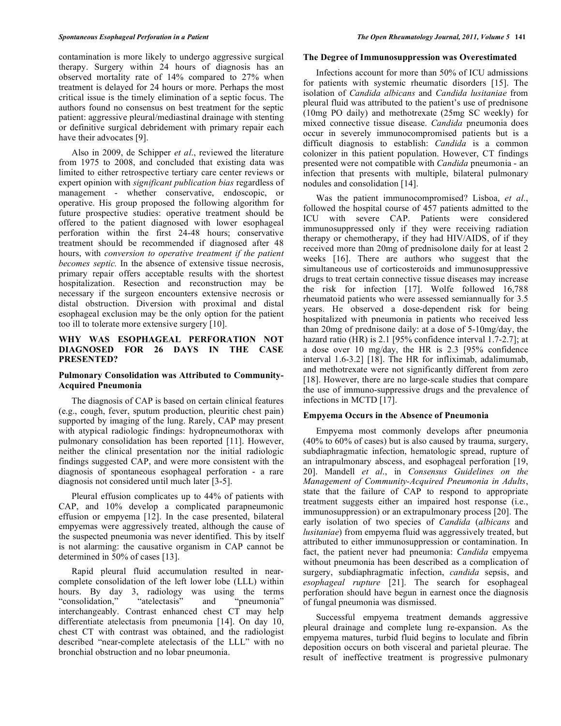contamination is more likely to undergo aggressive surgical therapy. Surgery within 24 hours of diagnosis has an observed mortality rate of 14% compared to 27% when treatment is delayed for 24 hours or more. Perhaps the most critical issue is the timely elimination of a septic focus. The authors found no consensus on best treatment for the septic patient: aggressive pleural/mediastinal drainage with stenting or definitive surgical debridement with primary repair each have their advocates [9].

 Also in 2009, de Schipper *et al*., reviewed the literature from 1975 to 2008, and concluded that existing data was limited to either retrospective tertiary care center reviews or expert opinion with *significant publication bias* regardless of management - whether conservative, endoscopic, or operative. His group proposed the following algorithm for future prospective studies: operative treatment should be offered to the patient diagnosed with lower esophageal perforation within the first 24-48 hours; conservative treatment should be recommended if diagnosed after 48 hours, with *conversion to operative treatment if the patient becomes septic.* In the absence of extensive tissue necrosis, primary repair offers acceptable results with the shortest hospitalization. Resection and reconstruction may be necessary if the surgeon encounters extensive necrosis or distal obstruction. Diversion with proximal and distal esophageal exclusion may be the only option for the patient too ill to tolerate more extensive surgery [10].

# **WHY WAS ESOPHAGEAL PERFORATION NOT DIAGNOSED FOR 26 DAYS IN THE CASE PRESENTED?**

# **Pulmonary Consolidation was Attributed to Community-Acquired Pneumonia**

 The diagnosis of CAP is based on certain clinical features (e.g., cough, fever, sputum production, pleuritic chest pain) supported by imaging of the lung. Rarely, CAP may present with atypical radiologic findings: hydropneumothorax with pulmonary consolidation has been reported [11]. However, neither the clinical presentation nor the initial radiologic findings suggested CAP, and were more consistent with the diagnosis of spontaneous esophageal perforation - a rare diagnosis not considered until much later [3-5].

 Pleural effusion complicates up to 44% of patients with CAP, and 10% develop a complicated parapneumonic effusion or empyema [12]. In the case presented, bilateral empyemas were aggressively treated, although the cause of the suspected pneumonia was never identified. This by itself is not alarming: the causative organism in CAP cannot be determined in 50% of cases [13].

 Rapid pleural fluid accumulation resulted in nearcomplete consolidation of the left lower lobe (LLL) within hours. By day 3, radiology was using the terms<br>"consolidation," "atelectasis" and "pneumonia" "consolidation," "atelectasis" and "pneumonia" interchangeably. Contrast enhanced chest CT may help differentiate atelectasis from pneumonia [14]. On day 10, chest CT with contrast was obtained, and the radiologist described "near-complete atelectasis of the LLL" with no bronchial obstruction and no lobar pneumonia.

#### **The Degree of Immunosuppression was Overestimated**

 Infections account for more than 50% of ICU admissions for patients with systemic rheumatic disorders [15]. The isolation of *Candida albicans* and *Candida lusitaniae* from pleural fluid was attributed to the patient's use of prednisone (10mg PO daily) and methotrexate (25mg SC weekly) for mixed connective tissue disease. *Candida* pneumonia does occur in severely immunocompromised patients but is a difficult diagnosis to establish: *Candida* is a common colonizer in this patient population. However, CT findings presented were not compatible with *Candida* pneumonia - an infection that presents with multiple, bilateral pulmonary nodules and consolidation [14].

 Was the patient immunocompromised? Lisboa, *et al*., followed the hospital course of 457 patients admitted to the ICU with severe CAP. Patients were considered immunosuppressed only if they were receiving radiation therapy or chemotherapy, if they had HIV/AIDS, of if they received more than 20mg of prednisolone daily for at least 2 weeks [16]. There are authors who suggest that the simultaneous use of corticosteroids and immunosuppressive drugs to treat certain connective tissue diseases may increase the risk for infection [17]. Wolfe followed 16,788 rheumatoid patients who were assessed semiannually for 3.5 years. He observed a dose-dependent risk for being hospitalized with pneumonia in patients who received less than 20mg of prednisone daily: at a dose of 5-10mg/day, the hazard ratio (HR) is 2.1 [95% confidence interval 1.7-2.7]; at a dose over 10 mg/day, the HR is 2.3 [95% confidence interval 1.6-3.2] [18]. The HR for infliximab, adalimumab, and methotrexate were not significantly different from zero [18]. However, there are no large-scale studies that compare the use of immuno-suppressive drugs and the prevalence of infections in MCTD [17].

## **Empyema Occurs in the Absence of Pneumonia**

 Empyema most commonly develops after pneumonia (40% to 60% of cases) but is also caused by trauma, surgery, subdiaphragmatic infection, hematologic spread, rupture of an intrapulmonary abscess, and esophageal perforation [19, 20]. Mandell *et al*., in *Consensus Guidelines on the Management of Community-Acquired Pneumonia in Adults*, state that the failure of CAP to respond to appropriate treatment suggests either an impaired host response (i.e., immunosuppression) or an extrapulmonary process [20]. The early isolation of two species of *Candida* (*albicans* and *lusitaniae*) from empyema fluid was aggressively treated, but attributed to either immunosuppression or contamination. In fact, the patient never had pneumonia: *Candida* empyema without pneumonia has been described as a complication of surgery, subdiaphragmatic infection, *candida* sepsis, and *esophageal rupture* [21]. The search for esophageal perforation should have begun in earnest once the diagnosis of fungal pneumonia was dismissed.

 Successful empyema treatment demands aggressive pleural drainage and complete lung re-expansion. As the empyema matures, turbid fluid begins to loculate and fibrin deposition occurs on both visceral and parietal pleurae. The result of ineffective treatment is progressive pulmonary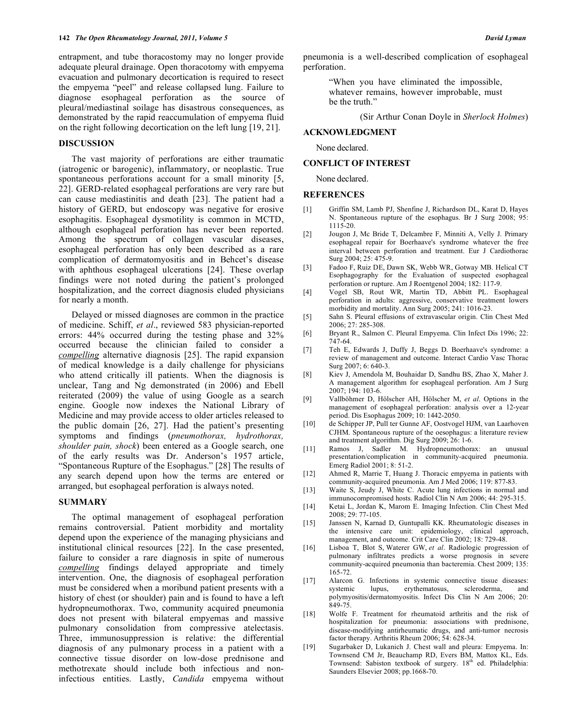entrapment, and tube thoracostomy may no longer provide adequate pleural drainage. Open thoracotomy with empyema evacuation and pulmonary decortication is required to resect the empyema "peel" and release collapsed lung. Failure to diagnose esophageal perforation as the source of pleural/mediastinal soilage has disastrous consequences, as demonstrated by the rapid reaccumulation of empyema fluid on the right following decortication on the left lung [19, 21].

## **DISCUSSION**

 The vast majority of perforations are either traumatic (iatrogenic or barogenic), inflammatory, or neoplastic. True spontaneous perforations account for a small minority [5, 22]. GERD-related esophageal perforations are very rare but can cause mediastinitis and death [23]. The patient had a history of GERD, but endoscopy was negative for erosive esophagitis. Esophageal dysmotility is common in MCTD, although esophageal perforation has never been reported. Among the spectrum of collagen vascular diseases, esophageal perforation has only been described as a rare complication of dermatomyositis and in Behcet's disease with aphthous esophageal ulcerations [24]. These overlap findings were not noted during the patient's prolonged hospitalization, and the correct diagnosis eluded physicians for nearly a month.

 Delayed or missed diagnoses are common in the practice of medicine. Schiff, *et al*., reviewed 583 physician-reported errors: 44% occurred during the testing phase and 32% occurred because the clinician failed to consider a *compelling* alternative diagnosis [25]. The rapid expansion of medical knowledge is a daily challenge for physicians who attend critically ill patients. When the diagnosis is unclear, Tang and Ng demonstrated (in 2006) and Ebell reiterated (2009) the value of using Google as a search engine. Google now indexes the National Library of Medicine and may provide access to older articles released to the public domain [26, 27]. Had the patient's presenting symptoms and findings (*pneumothorax, hydrothorax, shoulder pain, shock*) been entered as a Google search, one of the early results was Dr. Anderson's 1957 article, "Spontaneous Rupture of the Esophagus." [28] The results of any search depend upon how the terms are entered or arranged, but esophageal perforation is always noted.

# **SUMMARY**

 The optimal management of esophageal perforation remains controversial. Patient morbidity and mortality depend upon the experience of the managing physicians and institutional clinical resources [22]. In the case presented, failure to consider a rare diagnosis in spite of numerous *compelling* findings delayed appropriate and timely intervention. One, the diagnosis of esophageal perforation must be considered when a moribund patient presents with a history of chest (or shoulder) pain and is found to have a left hydropneumothorax. Two, community acquired pneumonia does not present with bilateral empyemas and massive pulmonary consolidation from compressive atelectasis. Three, immunosuppression is relative: the differential diagnosis of any pulmonary process in a patient with a connective tissue disorder on low-dose prednisone and methotrexate should include both infectious and noninfectious entities. Lastly, *Candida* empyema without

pneumonia is a well-described complication of esophageal perforation.

> "When you have eliminated the impossible, whatever remains, however improbable, must be the truth."

> > (Sir Arthur Conan Doyle in *Sherlock Holmes*)

## **ACKNOWLEDGMENT**

None declared.

## **CONFLICT OF INTEREST**

None declared.

#### **REFERENCES**

- [1] Griffin SM, Lamb PJ, Shenfine J, Richardson DL, Karat D, Hayes N. Spontaneous rupture of the esophagus. Br J Surg 2008; 95: 1115-20.
- [2] Jougon J, Mc Bride T, Delcambre F, Minniti A, Velly J. Primary esophageal repair for Boerhaave's syndrome whatever the free interval between perforation and treatment. Eur J Cardiothorac Surg 2004; 25: 475-9.
- [3] Fadoo F, Ruiz DE, Dawn SK, Webb WR, Gotway MB. Helical CT Esophagography for the Evaluation of suspected esophageal perforation or rupture. Am J Roentgenol 2004; 182: 117-9.
- [4] Vogel SB, Rout WR, Martin TD, Abbitt PL. Esophageal perforation in adults: aggressive, conservative treatment lowers morbidity and mortality. Ann Surg 2005; 241: 1016-23.
- [5] Sahn S. Pleural effusions of extravascular origin. Clin Chest Med 2006; 27: 285-308.
- [6] Bryant R., Salmon C. Pleural Empyema. Clin Infect Dis 1996; 22: 747-64.
- [7] Teh E, Edwards J, Duffy J, Beggs D. Boerhaave's syndrome: a review of management and outcome. Interact Cardio Vasc Thorac Surg 2007; 6: 640-3.
- [8] Kiev J, Amendola M, Bouhaidar D, Sandhu BS, Zhao X, Maher J. A management algorithm for esophageal perforation. Am J Surg 2007; 194: 103-6.
- [9] Vallböhmer D, Hölscher AH, Hölscher M, *et al*. Options in the management of esophageal perforation: analysis over a 12-year period. Dis Esophagus 2009; 10: 1442-2050.
- [10] de Schipper JP, Pull ter Gunne AF, Oostvogel HJM, van Laarhoven CJHM. Spontaneous rupture of the oesophagus: a literature review and treatment algorithm. Dig Surg 2009; 26: 1-6.
- [11] Ramos J, Sadler M. Hydropneumothorax: an unusual presentation/complication in community-acquired pneumonia. Emerg Radiol 2001; 8: 51-2.
- [12] Ahmed R, Marrie T, Huang J. Thoracic empyema in patients with community-acquired pneumonia. Am J Med 2006; 119: 877-83.
- [13] Waite S, Jeudy J, White C. Acute lung infections in normal and immunocompromised hosts. Radiol Clin N Am 2006; 44: 295-315.
- [14] Ketai L, Jordan K, Marom E. Imaging Infection. Clin Chest Med 2008; 29: 77-105.
- [15] Janssen N, Karnad D, Guntupalli KK. Rheumatologic diseases in the intensive care unit: epidemiology, clinical approach, management, and outcome. Crit Care Clin 2002; 18: 729-48.
- [16] Lisboa T, Blot S, Waterer GW, *et al*. Radiologic progression of pulmonary infiltrates predicts a worse prognosis in severe community-acquired pneumonia than bacteremia. Chest 2009; 135: 165-72.
- [17] Alarcon G. Infections in systemic connective tissue diseases: erythematosus, scleroderma, and polymyositis/dermatomyositis. Infect Dis Clin N Am 2006; 20: 849-75.
- [18] Wolfe F. Treatment for rheumatoid arthritis and the risk of hospitalization for pneumonia: associations with prednisone, disease-modifying antirheumatic drugs, and anti-tumor necrosis factor therapy. Arthritis Rheum 2006; 54: 628-34.
- [19] Sugarbaker D, Lukanich J. Chest wall and pleura: Empyema. In: Townsend CM Jr, Beauchamp RD, Evers BM, Mattox KL, Eds. Townsend: Sabiston textbook of surgery. 18<sup>th</sup> ed. Philadelphia: Saunders Elsevier 2008; pp.1668-70.